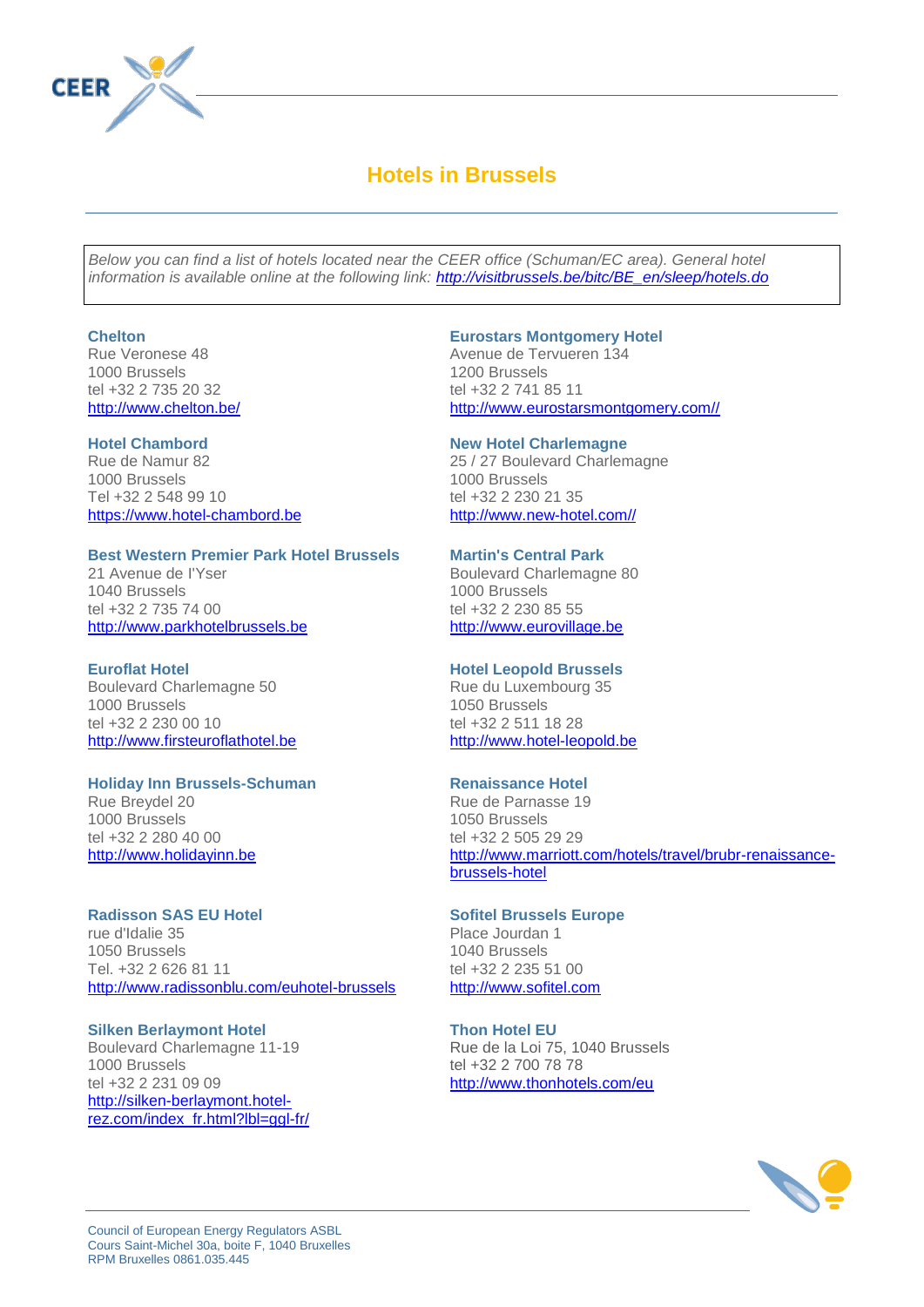

# **Hotels in Brussels**

*Below you can find a list of hotels located near the CEER office (Schuman/EC area). General hotel information is available online at the following link: [http://visitbrussels.be/bitc/BE\\_en/sleep/hotels.do](http://visitbrussels.be/bitc/BE_en/sleep/hotels.do)*

#### **Chelton**

Rue Veronese 48 1000 Brussels tel +32 2 735 20 32 <http://www.chelton.be/>

#### **Hotel Chambord**

Rue de Namur 82 1000 Brussels Tel +32 2 548 99 10 [https://www.hotel-chambord.be](https://www.hotel-chambord.be/)

#### **Best Western Premier Park Hotel Brussels**

21 Avenue de I'Yser 1040 Brussels tel +32 2 735 74 00 [http://www.parkhotelbrussels.be](http://www.parkhotelbrussels.be/)

#### **Euroflat Hotel**

Boulevard Charlemagne 50 1000 Brussels tel +32 2 230 00 10 [http://www.firsteuroflathotel.be](http://www.firsteuroflathotel.be/)

#### **Holiday Inn Brussels-Schuman**

Rue Breydel 20 1000 Brussels tel +32 2 280 40 00 [http://www.holidayinn.be](http://www.ihg.com/holidayinn/hotels/fr/fr/brussels/brubr/hoteldetail?qDest=Bruxelles%2C+Belgique&qAdlt=1&qChld=0&qRms=1&qPSt=0&qRtP=6CBARC&qSmP=3&qRmP=3&qWch=0&qSHp=1&qBrs=ic.cp.in.vn.hi.ex.rs.cv.sb.cw.6c&qSrt=BRAND_SORT&qRad=50&qRdU=0&qRpp=25&qRRSrt=rt&qLat=50.8333&qLng=4.3333&srb_u=1=)

#### **Radisson SAS EU Hotel**

rue d'Idalie 35 1050 Brussels Tel. +32 2 626 81 11 <http://www.radissonblu.com/euhotel-brussels>

**Silken Berlaymont Hotel** Boulevard Charlemagne 11-19 1000 Brussels tel +32 2 231 09 09 [http://silken-berlaymont.hotel](http://silken-berlaymont.hotel-rez.com/index_fr.html?lbl=ggl-fr)[rez.com/index\\_fr.html?lbl=ggl-fr/](http://silken-berlaymont.hotel-rez.com/index_fr.html?lbl=ggl-fr)

## **Eurostars Montgomery Hotel**

Avenue de Tervueren 134 1200 Brussels tel +32 2 741 85 11 [http://www.eurostarsmontgomery.com//](http://www.eurostarsmontgomery.com/)

#### **New Hotel Charlemagne**

25 / 27 Boulevard Charlemagne 1000 Brussels tel +32 2 230 21 35 [http://www.new-hotel.com//](http://www.new-hotel.com/)

## **Martin's Central Park**

Boulevard Charlemagne 80 1000 Brussels tel +32 2 230 85 55 [http://www.eurovillage.be](http://www.eurovillage.be/)

# **Hotel Leopold Brussels**

Rue du Luxembourg 35 1050 Brussels tel +32 2 511 18 28 [http://www.hotel-leopold.be](http://www.hotel-leopold.be/)

#### **Renaissance Hotel**

Rue de Parnasse 19 1050 Brussels tel +32 2 505 29 29 [http://www.marriott.com/hotels/travel/brubr-renaissance](http://www.marriott.com/hotels/travel/brubr-renaissance-brussels-hotel)[brussels-hotel](http://www.marriott.com/hotels/travel/brubr-renaissance-brussels-hotel)

## **Sofitel Brussels Europe**

Place Jourdan 1 1040 Brussels tel +32 2 235 51 00 [http://www.sofitel.com](http://www.sofitel.com/fr/hotel-5282-sofitel-brussels-europe/index.shtml)

#### **Thon Hotel EU**

Rue de la Loi 75, 1040 Brussels tel +32 2 700 78 78 <http://www.thonhotels.com/eu>